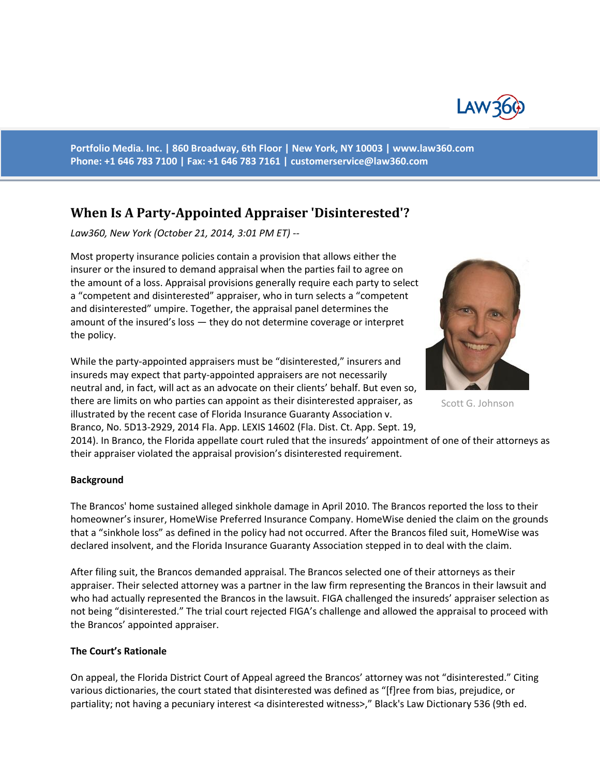

**Portfolio Media. Inc. | 860 Broadway, 6th Floor | New York, NY 10003 | www.law360.com Phone: +1 646 783 7100 | Fax: +1 646 783 7161 | [customerservice@law360.com](mailto:customerservice@law360.com)**

## **When Is A Party-Appointed Appraiser 'Disinterested'?**

*Law360, New York (October 21, 2014, 3:01 PM ET) --*

Most property insurance policies contain a provision that allows either the insurer or the insured to demand appraisal when the parties fail to agree on the amount of a loss. Appraisal provisions generally require each party to select a "competent and disinterested" appraiser, who in turn selects a "competent and disinterested" umpire. Together, the appraisal panel determines the amount of the insured's loss — they do not determine coverage or interpret the policy.

While the party-appointed appraisers must be "disinterested," insurers and insureds may expect that party-appointed appraisers are not necessarily neutral and, in fact, will act as an advocate on their clients' behalf. But even so, there are limits on who parties can appoint as their disinterested appraiser, as illustrated by the recent case of Florida Insurance Guaranty Association v. Branco, No. 5D13-2929, 2014 Fla. App. LEXIS 14602 (Fla. Dist. Ct. App. Sept. 19,



Scott G. Johnson

2014). In Branco, the Florida appellate court ruled that the insureds' appointment of one of their attorneys as their appraiser violated the appraisal provision's disinterested requirement.

## **Background**

The Brancos' home sustained alleged sinkhole damage in April 2010. The Brancos reported the loss to their homeowner's insurer, HomeWise Preferred Insurance Company. HomeWise denied the claim on the grounds that a "sinkhole loss" as defined in the policy had not occurred. After the Brancos filed suit, HomeWise was declared insolvent, and the Florida Insurance Guaranty Association stepped in to deal with the claim.

After filing suit, the Brancos demanded appraisal. The Brancos selected one of their attorneys as their appraiser. Their selected attorney was a partner in the law firm representing the Brancos in their lawsuit and who had actually represented the Brancos in the lawsuit. FIGA challenged the insureds' appraiser selection as not being "disinterested." The trial court rejected FIGA's challenge and allowed the appraisal to proceed with the Brancos' appointed appraiser.

## **The Court's Rationale**

On appeal, the Florida District Court of Appeal agreed the Brancos' attorney was not "disinterested." Citing various dictionaries, the court stated that disinterested was defined as "[f]ree from bias, prejudice, or partiality; not having a pecuniary interest <a disinterested witness>," Black's Law Dictionary 536 (9th ed.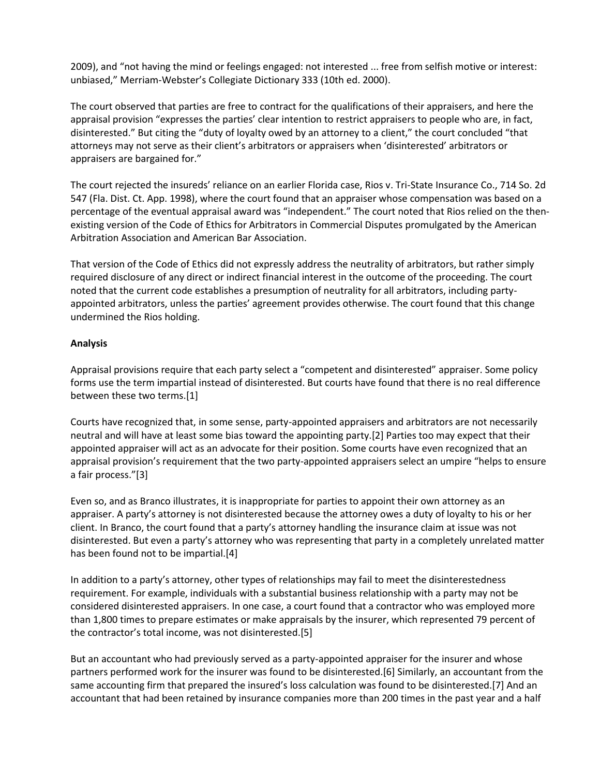2009), and "not having the mind or feelings engaged: not interested ... free from selfish motive or interest: unbiased," Merriam-Webster's Collegiate Dictionary 333 (10th ed. 2000).

The court observed that parties are free to contract for the qualifications of their appraisers, and here the appraisal provision "expresses the parties' clear intention to restrict appraisers to people who are, in fact, disinterested." But citing the "duty of loyalty owed by an attorney to a client," the court concluded "that attorneys may not serve as their client's arbitrators or appraisers when 'disinterested' arbitrators or appraisers are bargained for."

The court rejected the insureds' reliance on an earlier Florida case, Rios v. Tri-State Insurance Co., 714 So. 2d 547 (Fla. Dist. Ct. App. 1998), where the court found that an appraiser whose compensation was based on a percentage of the eventual appraisal award was "independent." The court noted that Rios relied on the thenexisting version of the Code of Ethics for Arbitrators in Commercial Disputes promulgated by the American Arbitration Association and American Bar Association.

That version of the Code of Ethics did not expressly address the neutrality of arbitrators, but rather simply required disclosure of any direct or indirect financial interest in the outcome of the proceeding. The court noted that the current code establishes a presumption of neutrality for all arbitrators, including partyappointed arbitrators, unless the parties' agreement provides otherwise. The court found that this change undermined the Rios holding.

## **Analysis**

Appraisal provisions require that each party select a "competent and disinterested" appraiser. Some policy forms use the term impartial instead of disinterested. But courts have found that there is no real difference between these two terms.[1]

Courts have recognized that, in some sense, party-appointed appraisers and arbitrators are not necessarily neutral and will have at least some bias toward the appointing party.[2] Parties too may expect that their appointed appraiser will act as an advocate for their position. Some courts have even recognized that an appraisal provision's requirement that the two party-appointed appraisers select an umpire "helps to ensure a fair process."[3]

Even so, and as Branco illustrates, it is inappropriate for parties to appoint their own attorney as an appraiser. A party's attorney is not disinterested because the attorney owes a duty of loyalty to his or her client. In Branco, the court found that a party's attorney handling the insurance claim at issue was not disinterested. But even a party's attorney who was representing that party in a completely unrelated matter has been found not to be impartial.[4]

In addition to a party's attorney, other types of relationships may fail to meet the disinterestedness requirement. For example, individuals with a substantial business relationship with a party may not be considered disinterested appraisers. In one case, a court found that a contractor who was employed more than 1,800 times to prepare estimates or make appraisals by the insurer, which represented 79 percent of the contractor's total income, was not disinterested.[5]

But an accountant who had previously served as a party-appointed appraiser for the insurer and whose partners performed work for the insurer was found to be disinterested.[6] Similarly, an accountant from the same accounting firm that prepared the insured's loss calculation was found to be disinterested.[7] And an accountant that had been retained by insurance companies more than 200 times in the past year and a half